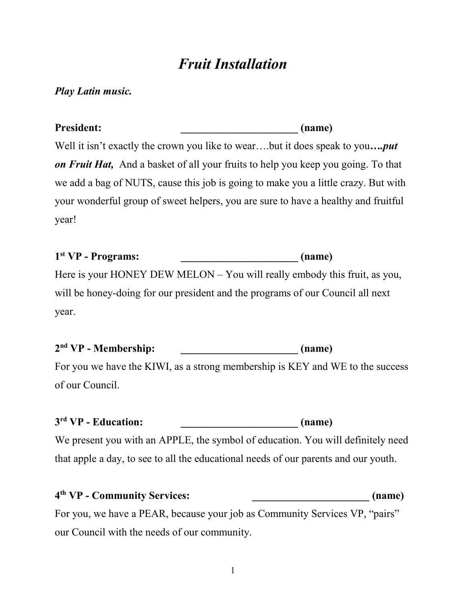# *Fruit Installation*

#### *Play Latin music.*

President: *Construction* (name) Well it isn't exactly the crown you like to wear….but it does speak to you*….put on Fruit Hat,* And a basket of all your fruits to help you keep you going. To that we add a bag of NUTS, cause this job is going to make you a little crazy. But with your wonderful group of sweet helpers, you are sure to have a healthy and fruitful year!

#### **1 st VP - Programs: \_\_\_\_\_\_\_\_\_\_\_\_\_\_\_\_\_\_\_\_\_\_ (name)**

Here is your HONEY DEW MELON – You will really embody this fruit, as you, will be honey-doing for our president and the programs of our Council all next year.

**2 nd VP - Membership: \_\_\_\_\_\_\_\_\_\_\_\_\_\_\_\_\_\_\_\_\_\_ (name)** 

For you we have the KIWI, as a strong membership is KEY and WE to the success of our Council.

**3 rd VP - Education: \_\_\_\_\_\_\_\_\_\_\_\_\_\_\_\_\_\_\_\_\_\_ (name)** 

We present you with an APPLE, the symbol of education. You will definitely need that apple a day, to see to all the educational needs of our parents and our youth.

| 4 <sup>th</sup> VP - Community Services: | (name) |
|------------------------------------------|--------|
|------------------------------------------|--------|

For you, we have a PEAR, because your job as Community Services VP, "pairs" our Council with the needs of our community.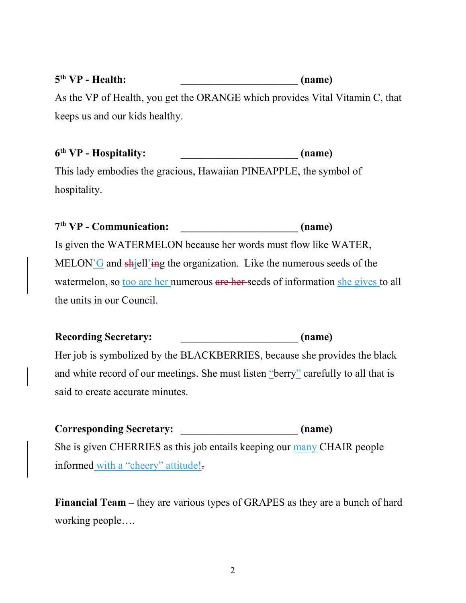## **5 th VP - Health: \_\_\_\_\_\_\_\_\_\_\_\_\_\_\_\_\_\_\_\_\_\_ (name)**

As the VP of Health, you get the ORANGE which provides Vital Vitamin C, that keeps us and our kids healthy.

## **6 th VP - Hospitality: \_\_\_\_\_\_\_\_\_\_\_\_\_\_\_\_\_\_\_\_\_\_ (name)**

This lady embodies the gracious, Hawaiian PINEAPPLE, the symbol of hospitality.

## **7 th VP - Communication: \_\_\_\_\_\_\_\_\_\_\_\_\_\_\_\_\_\_\_\_\_\_ (name)**

Is given the WATERMELON because her words must flow like WATER, MELON'G and  $\frac{\text{ch}}{\text{ell}}$ watermelon, so too are her numerous are her seeds of information she gives to all the units in our Council.

#### Recording Secretary: **Example 2018** (name)

Her job is symbolized by the BLACKBERRIES, because she provides the black and white record of our meetings. She must listen "berry" carefully to all that is said to create accurate minutes.

Corresponding Secretary: *Corresponding Secretary:* (name) She is given CHERRIES as this job entails keeping our many CHAIR people informed with a "cheery" attitude!-

**Financial Team –** they are various types of GRAPES as they are a bunch of hard working people….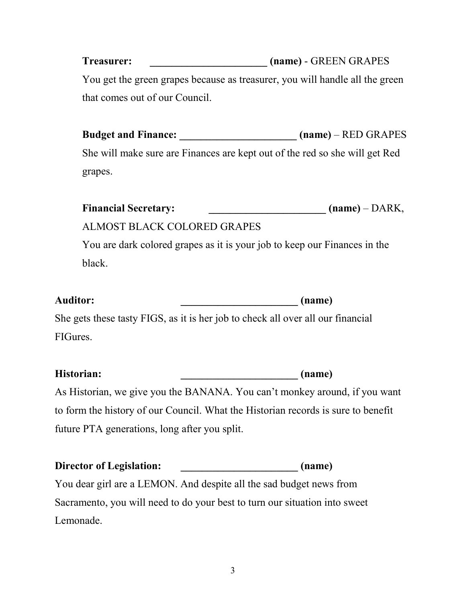**Treasurer: \_\_\_\_\_\_\_\_\_\_\_\_\_\_\_\_\_\_\_\_\_\_ (name)** - GREEN GRAPES You get the green grapes because as treasurer, you will handle all the green that comes out of our Council.

**Budget and Finance: \_\_\_\_\_\_\_\_\_\_\_\_\_\_\_\_\_\_\_\_\_\_ (name)** – RED GRAPES She will make sure are Finances are kept out of the red so she will get Red grapes.

| <b>Financial Secretary:</b> | $(name) - DARK,$ |
|-----------------------------|------------------|
|                             |                  |

### ALMOST BLACK COLORED GRAPES

You are dark colored grapes as it is your job to keep our Finances in the black.

| <b>Auditor:</b> | (name) |
|-----------------|--------|
|                 |        |

She gets these tasty FIGS, as it is her job to check all over all our financial FIGures.

| Historian:                                    | (name)                                                                            |
|-----------------------------------------------|-----------------------------------------------------------------------------------|
|                                               | As Historian, we give you the BANANA. You can't monkey around, if you want        |
|                                               | to form the history of our Council. What the Historian records is sure to benefit |
| future PTA generations, long after you split. |                                                                                   |

**Director of Legislation: \_\_\_\_\_\_\_\_\_\_\_\_\_\_\_\_\_\_\_\_\_\_ (name)**  You dear girl are a LEMON. And despite all the sad budget news from Sacramento, you will need to do your best to turn our situation into sweet Lemonade.